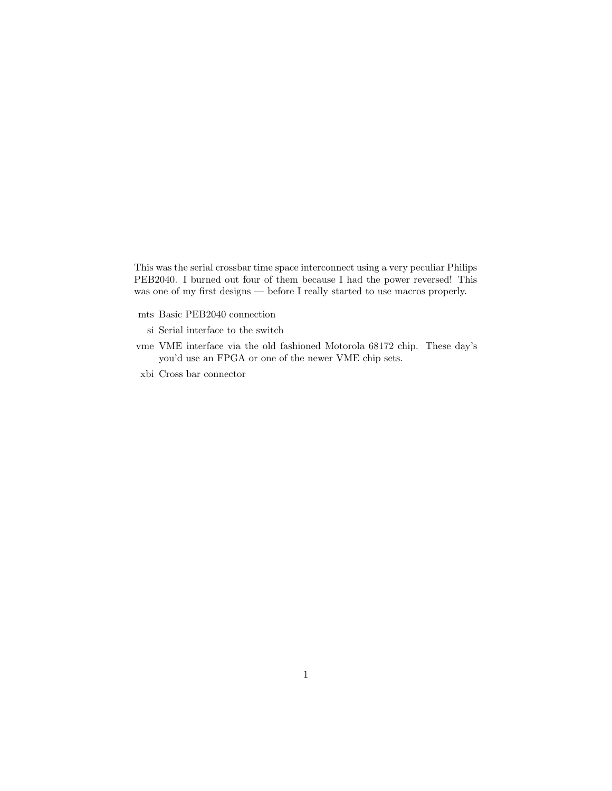This was the serial crossbar time space interconnect using a very peculiar Philips PEB2040. I burned out four of them because I had the power reversed! This was one of my first designs — before I really started to use macros properly.

- mts Basic PEB2040 connection
	- si Serial interface to the switch
- vme VME interface via the old fashioned Motorola 68172 chip. These day's you'd use an FPGA or one of the newer VME chip sets.
- xbi Cross bar connector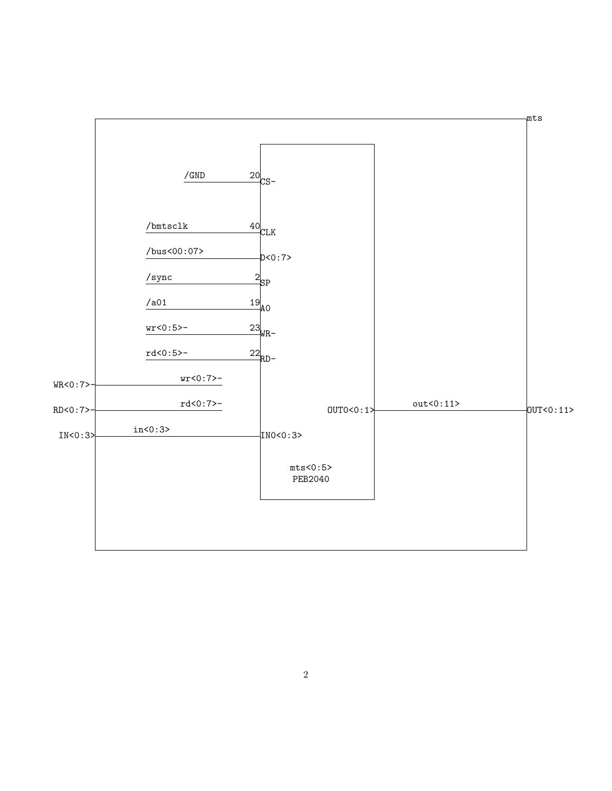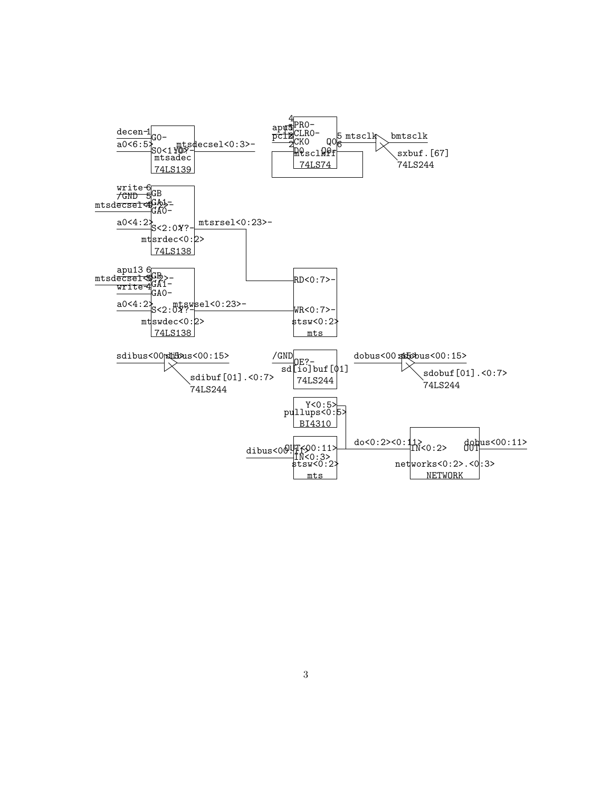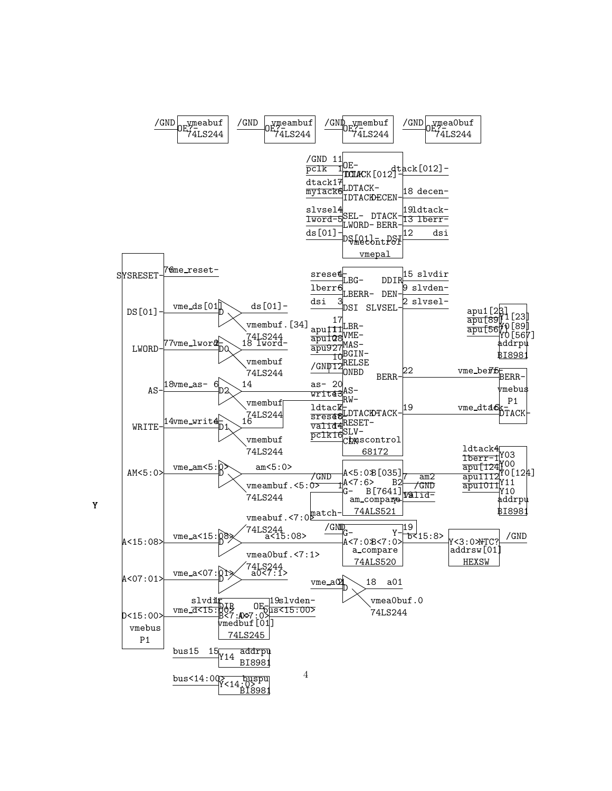